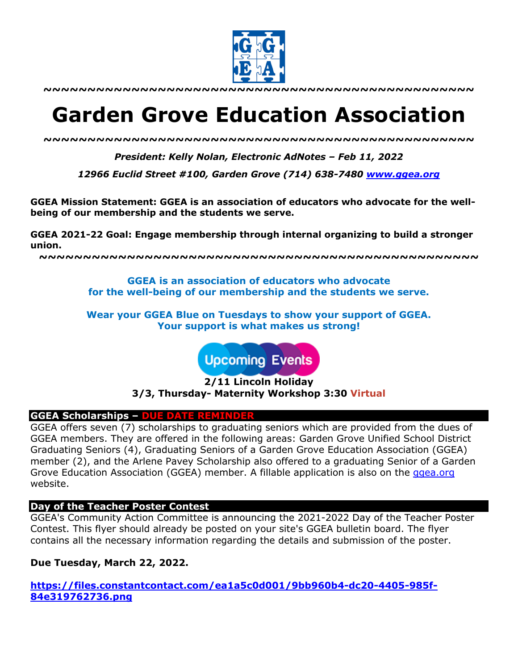

**~~~~~~~~~~~~~~~~~~~~~~~~~~~~~~~~~~~~~~~~~~~~~~~~~**

# **Garden Grove Education Association**

*~~~~~~~~~~~~~~~~~~~~~~~~~~~~~~~~~~~~~~~~~~~~~~~~~*

*President: Kelly Nolan, Electronic AdNotes – Feb 11, 2022*

*12966 Euclid Street #100, Garden Grove (714) 638-7480 www.ggea.org*

**GGEA Mission Statement: GGEA is an association of educators who advocate for the wellbeing of our membership and the students we serve.** 

**GGEA 2021-22 Goal: Engage membership through internal organizing to build a stronger union.**

**~~~~~~~~~~~~~~~~~~~~~~~~~~~~~~~~~~~~~~~~~~~~~~~~~~**

**GGEA is an association of educators who advocate for the well-being of our membership and the students we serve.**

**Wear your GGEA Blue on Tuesdays to show your support of GGEA. Your support is what makes us strong!**

**Upcoming Events** 

**2/11 Lincoln Holiday 3/3, Thursday- Maternity Workshop 3:30 Virtual**

# **GGEA Scholarships – DUE DATE REMINDER**

GGEA offers seven (7) scholarships to graduating seniors which are provided from the dues of GGEA members. They are offered in the following areas: Garden Grove Unified School District Graduating Seniors (4), Graduating Seniors of a Garden Grove Education Association (GGEA) member (2), and the Arlene Pavey Scholarship also offered to a graduating Senior of a Garden Grove Education Association (GGEA) member. A fillable application is also on the ggea.org website.

# **Day of the Teacher Poster Contest**

GGEA's Community Action Committee is announcing the 2021-2022 Day of the Teacher Poster Contest. This flyer should already be posted on your site's GGEA bulletin board. The flyer contains all the necessary information regarding the details and submission of the poster.

**Due Tuesday, March 22, 2022.**

**https://files.constantcontact.com/ea1a5c0d001/9bb960b4-dc20-4405-985f-84e319762736.png**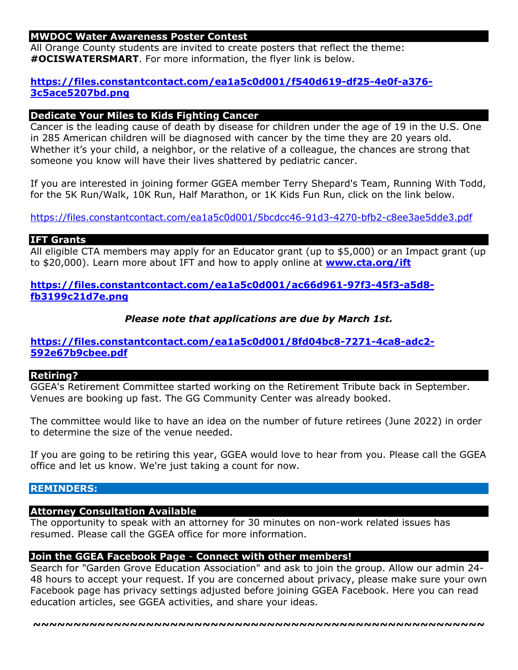# **MWDOC Water Awareness Poster Contest**

All Orange County students are invited to create posters that reflect the theme: **#OCISWATERSMART**. For more information, the flyer link is below.

# **https://files.constantcontact.com/ea1a5c0d001/f540d619-df25-4e0f-a376- 3c5ace5207bd.png**

## **Dedicate Your Miles to Kids Fighting Cancer**

Cancer is the leading cause of death by disease for children under the age of 19 in the U.S. One in 285 American children will be diagnosed with cancer by the time they are 20 years old. Whether it's your child, a neighbor, or the relative of a colleague, the chances are strong that someone you know will have their lives shattered by pediatric cancer.

If you are interested in joining former GGEA member Terry Shepard's Team, Running With Todd, for the 5K Run/Walk, 10K Run, Half Marathon, or 1K Kids Fun Run, click on the link below.

https://files.constantcontact.com/ea1a5c0d001/5bcdcc46-91d3-4270-bfb2-c8ee3ae5dde3.pdf

# **IFT Grants**

All eligible CTA members may apply for an Educator grant (up to \$5,000) or an Impact grant (up to \$20,000). Learn more about IFT and how to apply online at **www.cta.org/ift**

**https://files.constantcontact.com/ea1a5c0d001/ac66d961-97f3-45f3-a5d8 fb3199c21d7e.png**

*Please note that applications are due by March 1st.*

# **https://files.constantcontact.com/ea1a5c0d001/8fd04bc8-7271-4ca8-adc2- 592e67b9cbee.pdf**

#### **Retiring?**

GGEA's Retirement Committee started working on the Retirement Tribute back in September. Venues are booking up fast. The GG Community Center was already booked.

The committee would like to have an idea on the number of future retirees (June 2022) in order to determine the size of the venue needed.

If you are going to be retiring this year, GGEA would love to hear from you. Please call the GGEA office and let us know. We're just taking a count for now.

### **REMINDERS:**

#### **Attorney Consultation Available**

The opportunity to speak with an attorney for 30 minutes on non-work related issues has resumed. Please call the GGEA office for more information.

#### **Join the GGEA Facebook Page** - **Connect with other members!**

Search for "Garden Grove Education Association" and ask to join the group. Allow our admin 24- 48 hours to accept your request. If you are concerned about privacy, please make sure your own Facebook page has privacy settings adjusted before joining GGEA Facebook. Here you can read education articles, see GGEA activities, and share your ideas.

**~~~~~~~~~~~~~~~~~~~~~~~~~~~~~~~~~~~~~~~~~~~~~~~~~~~~~~~~**